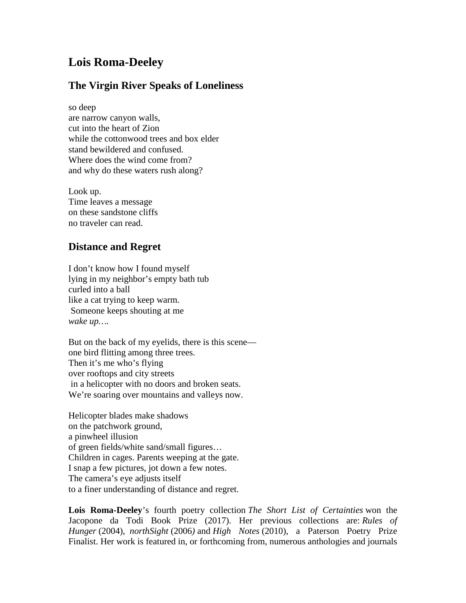## **Lois Roma-Deeley**

## **The Virgin River Speaks of Loneliness**

so deep are narrow canyon walls, cut into the heart of Zion while the cottonwood trees and box elder stand bewildered and confused. Where does the wind come from? and why do these waters rush along?

Look up. Time leaves a message on these sandstone cliffs no traveler can read.

## **Distance and Regret**

I don't know how I found myself lying in my neighbor's empty bath tub curled into a ball like a cat trying to keep warm. Someone keeps shouting at me *wake up….*

But on the back of my eyelids, there is this scene one bird flitting among three trees. Then it's me who's flying over rooftops and city streets in a helicopter with no doors and broken seats. We're soaring over mountains and valleys now.

Helicopter blades make shadows on the patchwork ground, a pinwheel illusion of green fields/white sand/small figures… Children in cages. Parents weeping at the gate. I snap a few pictures, jot down a few notes. The camera's eye adjusts itself to a finer understanding of distance and regret.

**Lois Roma-Deeley**'s fourth poetry collection *The Short List of Certainties* won the Jacopone da Todi Book Prize (2017). Her previous collections are: *Rules of Hunger* (2004), *northSight* (2006*)* and *High Notes* (2010), a Paterson Poetry Prize Finalist. Her work is featured in, or forthcoming from, numerous anthologies and journals